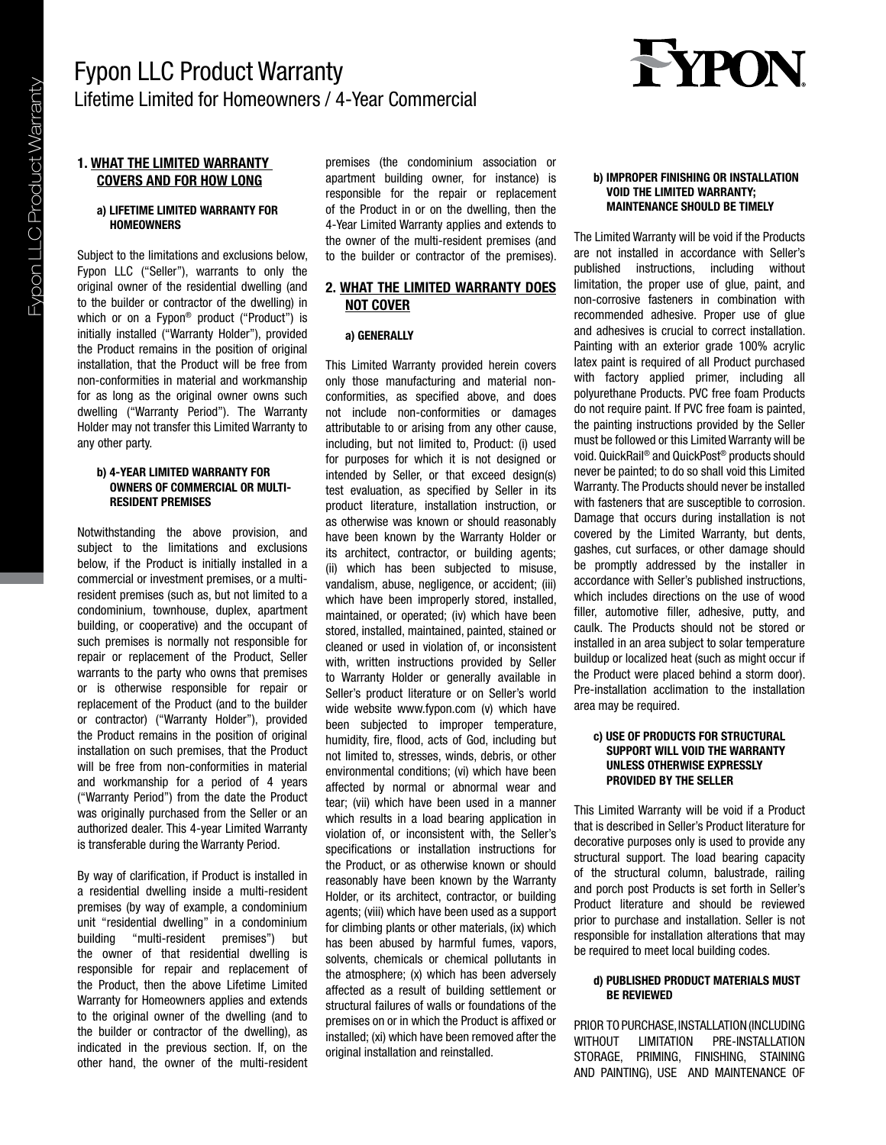# Fypon LLC Product Warranty Lifetime Limited for Homeowners / 4-Year Commercial

#### 1. WHAT THE LIMITED WARRANTY COVERS AND FOR HOW LONG

#### a) LIFETIME LIMITED WARRANTY FOR **HOMEOWNERS**

Subject to the limitations and exclusions below, Fypon LLC ("Seller"), warrants to only the original owner of the residential dwelling (and to the builder or contractor of the dwelling) in which or on a Fypon® product ("Product") is initially installed ("Warranty Holder"), provided the Product remains in the position of original installation, that the Product will be free from non-conformities in material and workmanship for as long as the original owner owns such dwelling ("Warranty Period"). The Warranty Holder may not transfer this Limited Warranty to any other party.

#### b) 4-YEAR LIMITED WARRANTY FOR OWNERS OF COMMERCIAL OR MULTI-RESIDENT PREMISES

Notwithstanding the above provision, and subject to the limitations and exclusions below, if the Product is initially installed in a commercial or investment premises, or a multiresident premises (such as, but not limited to a condominium, townhouse, duplex, apartment building, or cooperative) and the occupant of such premises is normally not responsible for repair or replacement of the Product, Seller warrants to the party who owns that premises or is otherwise responsible for repair or replacement of the Product (and to the builder or contractor) ("Warranty Holder"), provided the Product remains in the position of original installation on such premises, that the Product will be free from non-conformities in material and workmanship for a period of 4 years ("Warranty Period") from the date the Product was originally purchased from the Seller or an authorized dealer. This 4-year Limited Warranty is transferable during the Warranty Period.

By way of clarification, if Product is installed in a residential dwelling inside a multi-resident premises (by way of example, a condominium unit "residential dwelling" in a condominium building "multi-resident premises") but the owner of that residential dwelling is responsible for repair and replacement of the Product, then the above Lifetime Limited Warranty for Homeowners applies and extends to the original owner of the dwelling (and to the builder or contractor of the dwelling), as indicated in the previous section. If, on the other hand, the owner of the multi-resident

premises (the condominium association or apartment building owner, for instance) is responsible for the repair or replacement of the Product in or on the dwelling, then the 4-Year Limited Warranty applies and extends to the owner of the multi-resident premises (and to the builder or contractor of the premises).

# 2. WHAT THE LIMITED WARRANTY DOES NOT COVER

#### a) GENERALLY

This Limited Warranty provided herein covers only those manufacturing and material nonconformities, as specified above, and does not include non-conformities or damages attributable to or arising from any other cause, including, but not limited to, Product: (i) used for purposes for which it is not designed or intended by Seller, or that exceed design(s) test evaluation, as specified by Seller in its product literature, installation instruction, or as otherwise was known or should reasonably have been known by the Warranty Holder or its architect, contractor, or building agents; (ii) which has been subjected to misuse, vandalism, abuse, negligence, or accident; (iii) which have been improperly stored, installed, maintained, or operated; (iv) which have been stored, installed, maintained, painted, stained or cleaned or used in violation of, or inconsistent with, written instructions provided by Seller to Warranty Holder or generally available in Seller's product literature or on Seller's world wide website www.fypon.com (v) which have been subjected to improper temperature, humidity, fire, flood, acts of God, including but not limited to, stresses, winds, debris, or other environmental conditions; (vi) which have been affected by normal or abnormal wear and tear; (vii) which have been used in a manner which results in a load bearing application in violation of, or inconsistent with, the Seller's specifications or installation instructions for the Product, or as otherwise known or should reasonably have been known by the Warranty Holder, or its architect, contractor, or building agents; (viii) which have been used as a support for climbing plants or other materials, (ix) which has been abused by harmful fumes, vapors, solvents, chemicals or chemical pollutants in the atmosphere; (x) which has been adversely affected as a result of building settlement or structural failures of walls or foundations of the premises on or in which the Product is affixed or installed; (xi) which have been removed after the original installation and reinstalled.

# FYPON

#### b) IMPROPER FINISHING OR INSTALLATION VOID THE LIMITED WARRANTY; MAINTENANCE SHOULD BE TIMELY

The Limited Warranty will be void if the Products are not installed in accordance with Seller's published instructions, including without limitation, the proper use of glue, paint, and non-corrosive fasteners in combination with recommended adhesive. Proper use of glue and adhesives is crucial to correct installation. Painting with an exterior grade 100% acrylic latex paint is required of all Product purchased with factory applied primer, including all polyurethane Products. PVC free foam Products do not require paint. If PVC free foam is painted, the painting instructions provided by the Seller must be followed or this Limited Warranty will be void. QuickRail® and QuickPost® products should never be painted; to do so shall void this Limited Warranty. The Products should never be installed with fasteners that are susceptible to corrosion. Damage that occurs during installation is not covered by the Limited Warranty, but dents, gashes, cut surfaces, or other damage should be promptly addressed by the installer in accordance with Seller's published instructions, which includes directions on the use of wood filler, automotive filler, adhesive, putty, and caulk. The Products should not be stored or installed in an area subject to solar temperature buildup or localized heat (such as might occur if the Product were placed behind a storm door). Pre-installation acclimation to the installation area may be required.

#### c) USE OF PRODUCTS FOR STRUCTURAL SUPPORT WILL VOID THE WARRANTY UNLESS OTHERWISE EXPRESSLY PROVIDED BY THE SELLER

This Limited Warranty will be void if a Product that is described in Seller's Product literature for decorative purposes only is used to provide any structural support. The load bearing capacity of the structural column, balustrade, railing and porch post Products is set forth in Seller's Product literature and should be reviewed prior to purchase and installation. Seller is not responsible for installation alterations that may be required to meet local building codes.

#### d) PUBLISHED PRODUCT MATERIALS MUST BE REVIEWED

PRIOR TO PURCHASE, INSTALLATION (INCLUDING WITHOUT LIMITATION PRE-INSTALLATION STORAGE, PRIMING, FINISHING, STAINING AND PAINTING), USE AND MAINTENANCE OF